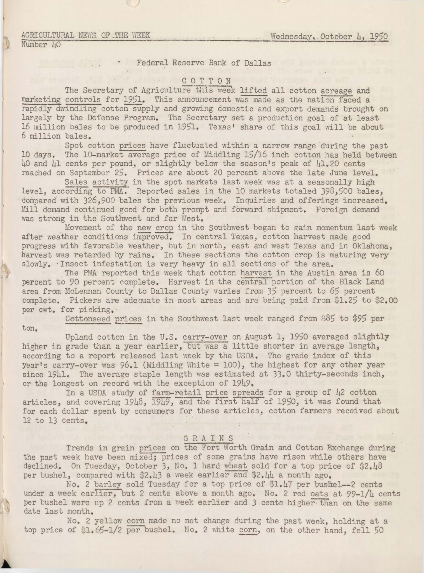$We already, October 4, 1950$ 

#### Federal Reserve Bank of Dallas

### COTTON

The Secretary of Agriculture this week lifted all cotton acreage and marketing controls for 1951. This announcement was made as the nation faced a rapidly dwindling cotton supply and growing domestic and export demands brought on largely by the Defense Program. The Secretary set a production goal of at least 16 million bales to be produced in 1951. Texas' share of this goal will be about 6 million bales.

Spot cotton prices have fluctuated within a narrow range during the past 10 days. The 10-market average price of Middling 15/16 inch cotton has held between 40 and 41 cents per pound, or slightly below the season's peak of 41. 20 cents reached on September 25. Prices are about 20 percent above the late June level.

Sales activity in the spot markets last week was at a seasonally high level, according to PMA. Reported sales in the 10 markets totaled 398,500 bales, compared· with 326,900 bales the previous week. Inquiries and offerings increased. Mill demand continued good for both prompt and forward shipment. Foreign demand was strong in the Southwest and far West.

Movement of the new crop in the Southwest began to gain momentum last week after weather conditions improved. In central Texas, cotton harvest made good progress with favorable weather, but in north, east and west Texas and in Oklahoma, harvest was retarded by rains. In these sections the cotton crop is maturing very slowly. Insect infestation is very heavy in all sections of the area.<br>The PMA reported this week that cotton harvest in the Austin area is 60

percent to 90 percent complete. Harvest in the central portion of the Black Land area from McLennan County to Dallas County varies from 35 percent to 65 percent complete. Pickers are adequate in most areas and are being paid from \$1.25 to \$2.00 per cwt. for picking.

Cottonseed prices in the Southwest last week ranged from  $$85$  to  $$95$  per

ton.

Upland cotton in the U.S. carry-over on August 1, 1950 averaged slightly higher in grade than a year earlier, but was a little shorter in average length, according to a report released last week by the USDA. The grade index of this year's carry-over was  $96.1$  (Middling White = 100), the highest for any other year since 1941. The average staple length was estimated at 33.0 thirty-seconds inch, or the longest on record with the exception of 1949.

In a USDA study of farm-retail price spreads for a group of 42 cotton articles, and covering  $1948$ ,  $\overline{1949}$ , and the first half of 1950, it was found that for each dollar spent by consumers for these articles, cotton farmers received about 12 to 13 cents.

## GRAINS

Trends in grain prices on the Fort Worth Grain and Cotton Exchange during the past week have been mixed; prices of some grains have risen while others have declined. On Tuesday, October 3, No. 1 hard wheat sold for a top price of  $$2,48$ per bushel, compared with \$2.43 a week earlier and \$2.44 a month ago.

No. 2 barley sold Tuesday for a top price of \$1.47 per bushel--2 cents under a week earlier, but 2 cents above a month ago. No. 2 red oats at 99-1/4 cents per bushel were up 2 cents from a week earlier and 3 cents higher than on the same date last month,

No. 2 yellow corn made no not change during the past week, holding at a top price of  $1.65-1/2$  per bushel. No. 2 white corn, on the other hand, fell 50